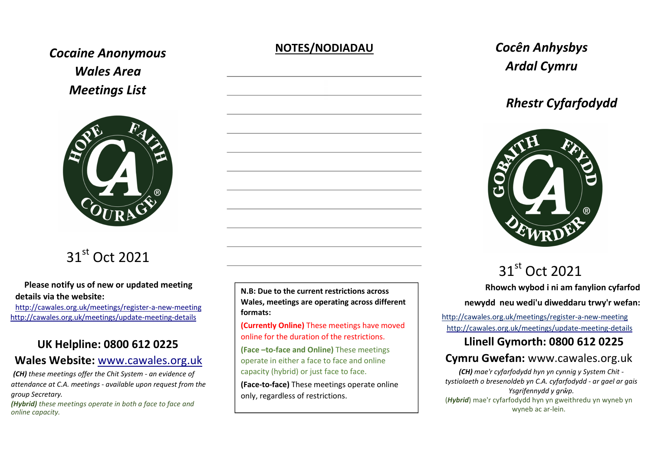# Cocaine Anonymous Wales Area Meetings List



# $31^{st}$  Oct 2021

### Please notify us of new or updated meeting details via the website:

http://cawales.org.uk/meetings/register-a-new-meeting http://cawales.org.uk/meetings/update-meeting-details

# UK Helpline: 0800 612 0225

# Wales Website: www.cawales.org.uk

(CH) these meetings offer the Chit System - an evidence of attendance at C.A. meetings - available upon request from the group Secretary.

(Hybrid) these meetings operate in both a face to face and online capacity.

## NOTES/NODIADAU Cocên Anhysbys



N.B: Due to the current restrictions across Wales, meetings are operating across different formats:

(Currently Online) These meetings have moved online for the duration of the restrictions.

(Face –to-face and Online) These meetings operate in either a face to face and online capacity (hybrid) or just face to face.

(Face-to-face) These meetings operate online only, regardless of restrictions.

# Ardal Cymru

# Rhestr Cyfarfodydd



# 31<sup>st</sup> Oct 2021

 Rhowch wybod i ni am fanylion cyfarfod newydd neu wedi'u diweddaru trwy'r wefan:

 http://cawales.org.uk/meetings/register-a-new-meeting http://cawales.org.uk/meetings/update-meeting-details

# Llinell Gymorth: 0800 612 0225

# Cymru Gwefan: www.cawales.org.uk

(CH) mae'r cyfarfodydd hyn yn cynnig y System Chit tystiolaeth o bresenoldeb yn C.A. cyfarfodydd - ar gael ar gais Ysgrifennydd y grŵp. (Hybrid) mae'r cyfarfodydd hyn yn gweithredu yn wyneb yn wyneb ac ar-lein.